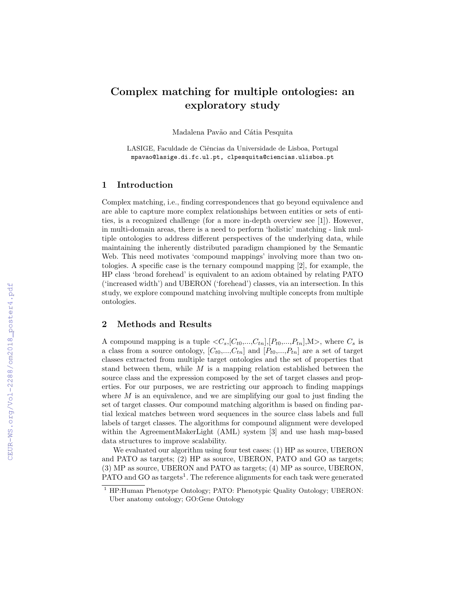# Complex matching for multiple ontologies: an exploratory study

Madalena Pavão and Cátia Pesquita

LASIGE, Faculdade de Ciências da Universidade de Lisboa, Portugal mpavao@lasige.di.fc.ul.pt, clpesquita@ciencias.ulisboa.pt

### 1 Introduction

Complex matching, i.e., finding correspondences that go beyond equivalence and are able to capture more complex relationships between entities or sets of entities, is a recognized challenge (for a more in-depth overview see [\[1\]](#page--1-0)). However, in multi-domain areas, there is a need to perform 'holistic' matching - link multiple ontologies to address different perspectives of the underlying data, while maintaining the inherently distributed paradigm championed by the Semantic Web. This need motivates 'compound mappings' involving more than two ontologies. A specific case is the ternary compound mapping [\[2\]](#page--1-1), for example, the HP class 'broad forehead' is equivalent to an axiom obtained by relating PATO ('increased width') and UBERON ('forehead') classes, via an intersection. In this study, we explore compound matching involving multiple concepts from multiple ontologies.

# 2 Methods and Results

A compound mapping is a tuple  $\langle C_s, [C_{t0},...,C_{tn}], [P_{t0},...,P_{tn}], M \rangle$ , where  $C_s$  is a class from a source ontology,  $[C_{t0},...,C_{tn}]$  and  $[P_{t0},...,P_{tn}]$  are a set of target classes extracted from multiple target ontologies and the set of properties that stand between them, while  $M$  is a mapping relation established between the source class and the expression composed by the set of target classes and properties. For our purposes, we are restricting our approach to finding mappings where  $M$  is an equivalence, and we are simplifying our goal to just finding the set of target classes. Our compound matching algorithm is based on finding partial lexical matches between word sequences in the source class labels and full labels of target classes. The algorithms for compound alignment were developed within the AgreementMakerLight (AML) system [\[3\]](#page--1-2) and use hash map-based data structures to improve scalability.

We evaluated our algorithm using four test cases: (1) HP as source, UBERON and PATO as targets; (2) HP as source, UBERON, PATO and GO as targets; (3) MP as source, UBERON and PATO as targets; (4) MP as source, UBERON, PATO and GO as targets<sup>[1](#page-0-0)</sup>. The reference alignments for each task were generated

<span id="page-0-0"></span><sup>&</sup>lt;sup>1</sup> HP:Human Phenotype Ontology; PATO: Phenotypic Quality Ontology; UBERON: Uber anatomy ontology; GO:Gene Ontology